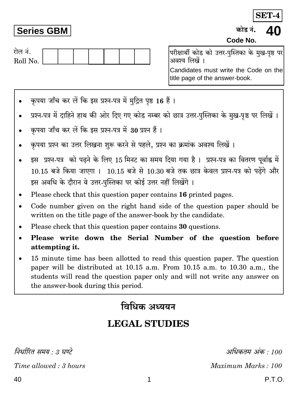SET-4

### **Series GBM**

कोड़ नं.

Code No.

| रोल न.   |  |  |  |  |
|----------|--|--|--|--|
| Roll No. |  |  |  |  |
|          |  |  |  |  |

परीक्षार्थी कोड को उत्तर-पुस्तिका के मुख-पृष्ठ पर अवश्य लिखें ।

Candidates must write the Code on the title page of the answer-book.

- कपया जाँच कर लें कि इस प्रश्न-पत्र में मदित पष्ठ 16 हैं।
- प्रश्न-पत्र में दाहिने हाथ की ओर दिए गए कोड नम्बर को छात्र उत्तर-पुस्तिका के मुख-पृष्ठ पर लिखें ।
- कपया जाँच कर लें कि इस प्रश्न-पत्र में 30 प्रश्न हैं।
- कुपया प्रश्न का उत्तर लिखना शुरू करने से पहले, प्रश्न का क्रमांक अवश्य लिखें ।
- इस प्रश्न-पत्र को पढने के लिए 15 मिनट का समय दिया गया है। प्रश्न-पत्र का वितरण पूर्वाह्न में 10.15 बजे किया जाएगा । 10.15 बजे से 10.30 बजे तक छात्र केवल प्रश्न-पत्र को पढेंगे और इस अवधि के दौरान वे उत्तर-पुस्तिका पर कोई उत्तर नहीं लिखेंगे।
- Please check that this question paper contains 16 printed pages.
- Code number given on the right hand side of the question paper should be written on the title page of the answer-book by the candidate.
- Please check that this question paper contains 30 questions.
- Please write down the Serial Number of the question before attempting it.
- 15 minute time has been allotted to read this question paper. The question paper will be distributed at 10.15 a.m. From 10.15 a.m. to 10.30 a.m., the students will read the question paper only and will not write any answer on the answer-book during this period.

## विधिक अध्ययन

# **LEGAL STUDIES**

निर्धारित समय · ३ घण्टे

Time allowed: 3 hours

अधिकतम् अंक  $\cdot$  100 Maximum Marks: 100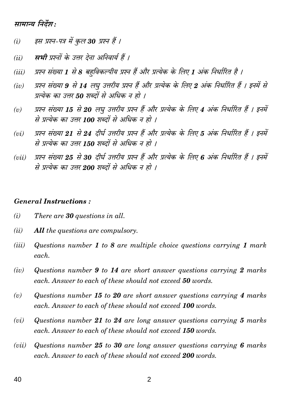#### सामान्य निर्देश:

- इस प्रश्न-पत्र में कुल 30 प्रश्न हैं ।  $(i)$
- सभी प्रश्नों के उत्तर देना अनिवार्य हैं ।  $(ii)$
- प्रश्न संख्या 1 से 8 बहविकल्पीय प्रश्न हैं और प्रत्येक के लिए 1 अंक निर्धारित है ।  $(iii)$
- प्रश्न संख्या 9 से 14 लघु उत्तरीय प्रश्न हैं और प्रत्येक के लिए 2 अंक निर्धारित हैं । इनमें से  $(iv)$ प्रत्येक का उत्तर 50 शब्दों से अधिक न हो ।
- प्रश्न संख्या 15 से 20 लघ उत्तरीय प्रश्न हैं और प्रत्येक के लिए 4 अंक निर्धारित हैं । इनमें  $(v)$ से प्रत्येक का उत्तर 100 शब्दों से अधिक न हो ।
- प्रश्न संख्या 21 से 24 दीर्घ उत्तरीय प्रश्न हैं और प्रत्येक के लिए 5 अंक निर्धारित हैं । इनमें  $(vi)$ से प्रत्येक का उत्तर 150 शब्दों से अधिक न हो ।
- प्रश्न संख्या 25 से 30 दीर्घ उत्तरीय प्रश्न हैं और प्रत्येक के लिए 6 अंक निर्धारित हैं । इनमें  $(vii)$ से प्रत्येक का उत्तर 200 शब्दों से अधिक न हो ।

#### **General Instructions:**

- $(i)$ There are 30 questions in all.
- $(ii)$ **All** the questions are compulsory.
- $(iii)$ Questions number 1 to 8 are multiple choice questions carrying 1 mark each.
- $(iv)$ Questions number 9 to 14 are short answer questions carrying 2 marks each. Answer to each of these should not exceed 50 words.
- Questions number 15 to 20 are short answer questions carrying 4 marks  $(v)$ each. Answer to each of these should not exceed 100 words.
- Questions number 21 to 24 are long answer questions carrying 5 marks  $(vi)$ each. Answer to each of these should not exceed 150 words.
- Questions number 25 to 30 are long answer questions carrying 6 marks  $(vii)$ each. Answer to each of these should not exceed 200 words.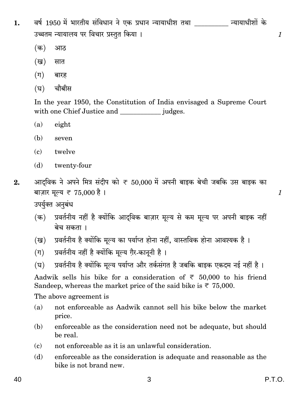- वर्ष 1950 में भारतीय संविधान ने एक प्रधान न्यायाधीश तथा न्यायाधीशों के 1. उच्चतम न्यायालय पर विचार प्रस्तुत किया।
	- $(\overline{a})$ आठ
	- (ख) सात
	- $(\Pi)$ बारह
	- (घ) चौबीस

In the year 1950, the Constitution of India envisaged a Supreme Court 

- eight (a)
- (b) seven
- $\epsilon$ twelve
- (d) twenty-four
- आदुविक ने अपने मित्र संदीप को ₹ 50,000 में अपनी बाइक बेची जबकि उस बाइक का  $2.$ बाज़ार मूल्य ₹ 75,000 है ।

उपर्युक्त अनुबंध

- प्रवर्तनीय नहीं है क्योंकि आदुविक बाज़ार मूल्य से कम मूल्य पर अपनी बाइक नहीं  $(\overline{a})$ बेच सकता ।
- प्रवर्तनीय है क्योंकि मूल्य का पर्याप्त होना नहीं, वास्तविक होना आवश्यक है। (ख)
- प्रवर्तनीय नहीं है क्योंकि मूल्य ग़ैर-कानूनी है।  $(\pi)$
- प्रवर्तनीय है क्योंकि मूल्य पर्याप्त और तर्कसंगत है जबकि बाइक एकदम नई नहीं है। (घ)

Aadwik sells his bike for a consideration of  $\overline{5}$  50,000 to his friend Sandeep, whereas the market price of the said bike is  $\overline{\tau}$  75,000.

The above agreement is

- not enforceable as Aadwik cannot sell his bike below the market  $(a)$ price.
- enforceable as the consideration need not be adequate, but should (b) be real.
- not enforceable as it is an unlawful consideration.  $(c)$
- enforceable as the consideration is adequate and reasonable as the (d) bike is not brand new.

 $\mathcal{I}$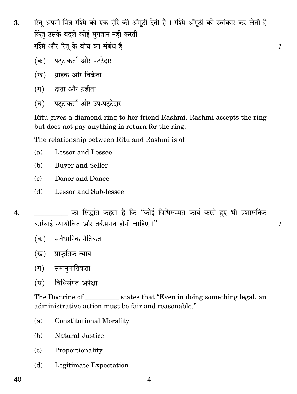रितु अपनी मित्र रश्मि को एक हीरे की अँगुठी देती है। रश्मि अँगुठी को स्वीकार कर लेती है 3. किंत उसके बदले कोई भगतान नहीं करती। रश्मि और रितु के बीच का संबंध है

 $\mathcal{I}_{\mathcal{L}}$ 

 $\mathcal{I}$ 

- (क) पटटाकर्ता और पटटेदार
- (ख) ग्राहक और विक्रेता
- (ग) दाता और ग्रहीता
- (घ) पटटाकर्ता और उप-पटटेदार

Ritu gives a diamond ring to her friend Rashmi. Rashmi accepts the ring but does not pay anything in return for the ring.

The relationship between Ritu and Rashmi is of

- $(a)$ Lessor and Lessee
- (b) **Buyer and Seller**
- Donor and Donee  $\epsilon$
- Lessor and Sub-lessee  $(b)$
- का सिद्धांत कहता है कि "कोई विधिसम्मत कार्य करते हुए भी प्रशासनिक  $\overline{4}$ . कार्रवाई न्यायोचित और तर्कसंगत होनी चाहिए ।"
	- संवैधानिक नैतिकता (क)
	- (ख) प्राकृतिक न्याय
	- (ग) समानपातिकता
	- विधिसंगत अपेक्षा (घ)

The Doctrine of \_\_\_\_\_\_\_\_\_\_\_\_\_ states that "Even in doing something legal, an administrative action must be fair and reasonable."

- **Constitutional Morality**  $(a)$
- Natural Justice (b)
- Proportionality  $(c)$
- (d) Legitimate Expectation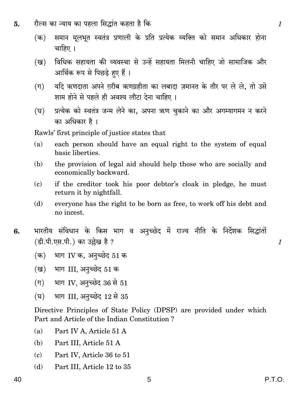- रौल्स का न्याय का पहला सिद्धांत कहता है कि 5.
	- समान मूलभूत स्वतंत्र प्रणाली के प्रति प्रत्येक व्यक्ति को समान अधिकार होना  $(\overline{a})$ चाहिए ।
	- विधिक सहायता की व्यवस्था से उन्हें सहायता मिलनी चाहिए जो सामाजिक और (ख) आर्थिक रूप से पिछड़े हुए हैं ।
	- यदि ऋणदाता अपने ग़रीब ऋणग्रहीता का लबादा ज़मानत के तौर पर ले ले, तो उसे  $(\Pi)$ शाम होने से पहले ही अवश्य लौटा देना चाहिए ।
	- प्रत्येक को स्वतंत्र जन्म लेने का, अपना ऋण चुकाने का और अगम्यागमन न करने  $(\overline{\mathbf{E}})$ का अधिकार है।

Rawls' first principle of justice states that

- each person should have an equal right to the system of equal  $(a)$ basic liberties.
- (b) the provision of legal aid should help those who are socially and economically backward.
- if the creditor took his poor debtor's cloak in pledge, he must  $\epsilon$ return it by nightfall.
- everyone has the right to be born as free, to work off his debt and  $(b)$ no incest.
- भारतीय संविधान के किस भाग व अनुच्छेद में राज्य नीति के निर्देशक सिद्धांतों 6. (डी.पी.एस.पी.) का उल्लेख है ?
	- भाग IV क, अनुच्छेद 51 क  $(\overline{a})$
	- भाग III, अनुच्छेद 51 क (ख)
	- भाग IV, अनुच्छेद 36 से 51  $(\Pi)$
	- भाग III, अनुच्छेद 12 से 35 (घ)

Directive Principles of State Policy (DPSP) are provided under which Part and Article of the Indian Constitution?

- Part IV A, Article 51 A  $(a)$
- (b) Part III, Article 51 A
- Part IV, Article 36 to 51  $(c)$
- (d) Part III, Article 12 to 35

 $\mathcal{I}_{\mathcal{L}}$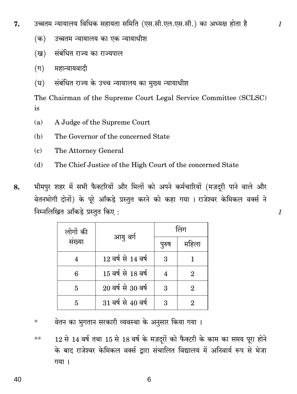- उच्चतम न्यायालय विधिक सहायता समिति (एस.सी.एल.एस.सी.) का अध्यक्ष होता है 7.
	- उच्चतम न्यायालय का एक न्यायाधीश  $(\overline{a})$
	- संबंधित राज्य का राज्यपाल (ख)
	- महान्यायवादी  $(\Pi)$
	- संबंधित राज्य के उच्च न्यायालय का मख्य न्यायाधीश  $(\nabla)$

The Chairman of the Supreme Court Legal Service Committee (SCLSC) is

- A Judge of the Supreme Court  $(a)$
- (b) The Governor of the concerned State
- $\epsilon$ The Attorney General
- (d) The Chief Justice of the High Court of the concerned State
- भीमपुर शहर में सभी फैक्टरियों और मिलों को अपने कर्मचारियों (मज़दुरी पाने वाले और 8. वेतनभोगी दोनों) के पूरे आँकड़े प्रस्तुत करने को कहा गया । राजेश्वर केमिकल वर्क्स ने निम्नलिखित आँकड़े प्रस्तुत किए:

| लोगों की | आयु वर्ग               | लिंग  |                             |  |
|----------|------------------------|-------|-----------------------------|--|
| संख्या   |                        | पुरुष | महिला                       |  |
|          | 12 वर्ष से 14 वर्ष     | 3     |                             |  |
| 6        | 15 वर्ष से 18 वर्ष     |       | 2                           |  |
| 5        | $20$ वर्ष से $30$ वर्ष | 3     | $\mathcal{D}_{\mathcal{L}}$ |  |
|          | 31 वर्ष से 40 वर्ष     | 3     |                             |  |

- वेतन का भुगतान सरकारी व्यवस्था के अनुसार किया गया ।  $\ast$
- 12 से 14 वर्ष तथा 15 से 18 वर्ष के मज़दूरों को फैक्टरी के काम का समय पूरा होने  $\ast\ast$ के बाद राजेश्वर केमिकल वर्क्स द्वारा संचालित विद्यालय में अनिवार्य रूप से भेजा गया ।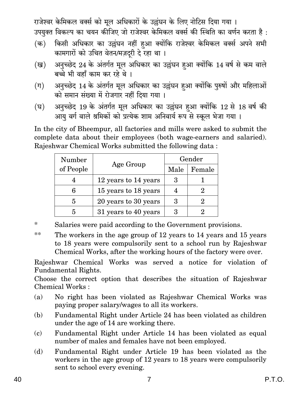राजेश्वर केमिकल वर्क्स को मूल अधिकारों के उल्लंघन के लिए नोटिस दिया गया । उपयुक्त विकल्प का चयन कीजिए जो राजेश्वर केमिकल वर्क्स की स्थिति का वर्णन करता है :

- किसी अधिकार का उल्लंघन नहीं हुआ क्योंकि राजेश्वर केमिकल वर्क्स अपने सभी  $(\overline{a})$ कामगारों को उचित वेतन/मज़दरी दे रहा था।
- अनुच्छेद 24 के अंतर्गत मूल अधिकार का उल्लंघन हुआ क्योंकि 14 वर्ष से कम वाले (ख) बच्चे भी वहाँ काम कर रहे थे।
- अनुच्छेद 14 के अंतर्गत मूल अधिकार का उल्लंघन हुआ क्योंकि पुरुषों और महिलाओं  $(\Pi)$ को समान संख्या में रोजगार नहीं दिया गया ।
- अनुच्छेद 19 के अंतर्गत मूल अधिकार का उल्लंघन हुआ क्योंकि 12 से 18 वर्ष की  $(\overline{\mathbf{E}})$ आयु वर्ग वाले श्रमिकों को प्रत्येक शाम अनिवार्य रूप से स्कूल भेजा गया।

In the city of Bheempur, all factories and mills were asked to submit the complete data about their employees (both wage-earners and salaried). Rajeshwar Chemical Works submitted the following data:

| Number    |                      | Gender |        |  |
|-----------|----------------------|--------|--------|--|
| of People | Age Group            | Male   | Female |  |
|           | 12 years to 14 years | З      |        |  |
|           | 15 years to 18 years |        |        |  |
| 5         | 20 years to 30 years | З      |        |  |
| 5         | 31 years to 40 years |        |        |  |

- $\ast$ Salaries were paid according to the Government provisions.
- $**$ The workers in the age group of 12 years to 14 years and 15 years to 18 years were compulsorily sent to a school run by Rajeshwar Chemical Works, after the working hours of the factory were over.

Rajeshwar Chemical Works was served a notice for violation of **Fundamental Rights.** 

Choose the correct option that describes the situation of Rajeshwar Chemical Works:

- No right has been violated as Rajeshwar Chemical Works was (a) paying proper salary/wages to all its workers.
- Fundamental Right under Article 24 has been violated as children (b) under the age of 14 are working there.
- Fundamental Right under Article 14 has been violated as equal  $\left( \mathbf{c} \right)$ number of males and females have not been employed.
- Fundamental Right under Article 19 has been violated as the (d) workers in the age group of 12 years to 18 years were compulsorily sent to school every evening.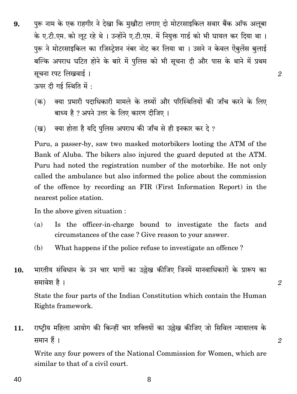पुरू नाम के एक राहगीर ने देखा कि मुखौटा लगाए दो मोटरसाइकिल सवार बैंक ऑफ अलुबा 9. के ए.टी.एम. को लुट रहे थे। उन्होंने ए.टी.एम. में नियुक्त गार्ड को भी घायल कर दिया था। पुरू ने मोटरसाइकिल का रजिस्ट्रेशन नंबर नोट कर लिया था । उसने न केवल ऐंबुलेंस बुलाई बल्कि अपराध घटित होने के बारे में पुलिस को भी सूचना दी और पास के थाने में प्रथम सूचना रपट लिखवाई।

ऊपर दी गई स्थिति में:

- क्या प्रभारी पदाधिकारी मामले के तथ्यों और परिस्थितियों की जाँच करने के लिए  $(\overline{a})$ बाध्य है ? अपने उत्तर के लिए कारण दीजिए ।
- क्या होता है यदि पुलिस अपराध की जाँच से ही इनकार कर दे ? (ख)

Puru, a passer-by, saw two masked motorbikers looting the ATM of the Bank of Aluba. The bikers also injured the guard deputed at the ATM. Puru had noted the registration number of the motorbike. He not only called the ambulance but also informed the police about the commission of the offence by recording an FIR (First Information Report) in the nearest police station.

In the above given situation :

- Is the officer-in-charge bound to investigate the facts and  $(a)$ circumstances of the case? Give reason to your answer.
- What happens if the police refuse to investigate an offence? (b)
- भारतीय संविधान के उन चार भागों का उल्लेख कीजिए जिनमें मानवाधिकारों के प्रारूप का 10. समावेश है। State the four parts of the Indian Constitution which contain the Human Rights framework.

राष्ट्रीय महिला आयोग की किन्हीं चार शक्तियों का उल्लेख कीजिए जो सिविल न्यायालय के 11. समान हैं।

Write any four powers of the National Commission for Women, which are similar to that of a civil court.

8

40

 $\overline{2}$ 

 $\overline{2}$ 

 $\overline{2}$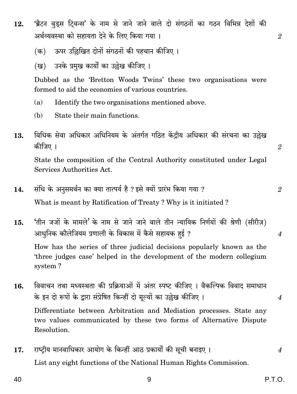- 'ब्रैटन वुडस टिवन्स' के नाम से जाने जाने वाले दो संगठनों का गठन विभिन्न देशों की 12. अर्थव्यवस्था को सहायता देने के लिए किया गया ।
	- ऊपर उछिखित दोनों संगठनों की पहचान कीजिए ।  $(\overline{a})$
	- उनके प्रमख कार्यों का उल्लेख कीजिए । (ख)

Dubbed as the 'Bretton Woods Twins' these two organisations were formed to aid the economies of various countries.

- Identify the two organisations mentioned above.  $(a)$
- (b) State their main functions.
- विधिक सेवा अधिकार अधिनियम के अंतर्गत गठित केंद्रीय अधिकार की संरचना का उल्लेख 13. कीजिए ।

State the composition of the Central Authority constituted under Legal Services Authorities Act

- संधि के अनुसमर्थन का क्या तात्पर्य है ? इसे क्यों प्रारंभ किया गया ? 14.  $\overline{2}$ What is meant by Ratification of Treaty? Why is it initiated?
- 'तीन जजों के मामले' के नाम से जाने जाने वाले तीन न्यायिक निर्णयों की श्रेणी (सीरीज़) 15. आधुनिक कौलेजियम प्रणाली के विकास में कैसे सहायक हुई ?

How has the series of three judicial decisions popularly known as the 'three judges case' helped in the development of the modern collegium system?

- विवाचन तथा मध्यस्थता की प्रक्रियाओं में अंतर स्पष्ट कीजिए । वैकल्पिक विवाद समाधान 16. के इन दो रूपों के द्वारा संप्रेषित किन्हीं दो मुल्यों का उल्लेख कीजिए। Differentiate between Arbitration and Mediation processes. State any two values communicated by these two forms of Alternative Dispute Resolution.
- राष्ट्रीय मानवाधिकार आयोग के किन्हीं आठ प्रकार्यों की सूची बनाइए । 17.  $\overline{4}$ List any eight functions of the National Human Rights Commission.

 $\overline{2}$ 

 $\overline{2}$ 

 $\boldsymbol{4}$ 

 $\overline{4}$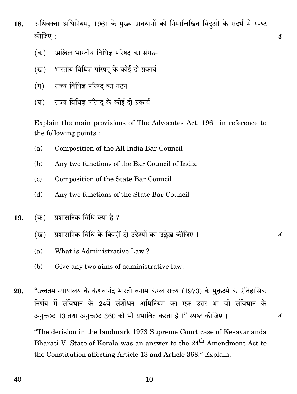अधिवक्ता अधिनियम, 1961 के मुख्य प्रावधानों को निम्नलिखित बिंदओं के संदर्भ में स्पष्ट 18. कीजिए :

 $\boldsymbol{\mathcal{A}}$ 

 $\overline{4}$ 

 $\overline{4}$ 

- अखिल भारतीय विधिज्ञ परिषद् का संगठन  $(\overline{a})$
- भारतीय विधिज्ञ परिषद के कोई दो प्रकार्य (ख)
- राज्य विधिज्ञ परिषद का गठन  $(\Pi)$
- राज्य विधिज्ञ परिषद के कोई दो प्रकार्य (घ)

Explain the main provisions of The Advocates Act, 1961 in reference to the following points:

- Composition of the All India Bar Council (a)
- $(b)$ Any two functions of the Bar Council of India
- $(c)$ Composition of the State Bar Council
- Any two functions of the State Bar Council (d)
- प्रशासनिक विधि क्या है ? 19. (क)
	- प्रशासनिक विधि के किन्हीं दो उद्देश्यों का उल्लेख कीजिए । (ख)
	- What is Administrative Law?  $(a)$
	- $(b)$ Give any two aims of administrative law.

"उच्चतम न्यायालय के केशवानंद भारती बनाम केरल राज्य (1973) के मक़दमे के ऐतिहासिक 20. निर्णय में संविधान के 24वें संशोधन अधिनियम का एक उत्तर था जो संविधान के अनुच्छेद 13 तथा अनुच्छेद 360 को भी प्रभावित करता है।" स्पष्ट कीजिए।

"The decision in the landmark 1973 Supreme Court case of Kesavananda Bharati V. State of Kerala was an answer to the 24<sup>th</sup> Amendment Act to the Constitution affecting Article 13 and Article 368." Explain.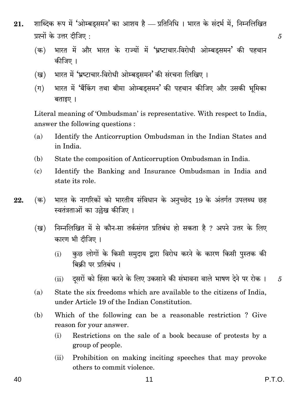- शाब्दिक रूप में 'ओम्बडसमन' का आशय है प्रतिनिधि । भारत के संदर्भ में, निम्नलिखित 21. प्रश्नों के उत्तर टीजिए :
	- भारत में और भारत के राज्यों में 'भ्रष्टाचार-विरोधी ओम्बडसमन' की पहचान  $(\overline{a})$ कीजिए ।
	- भारत में 'भ्रष्टाचार-विरोधी ओम्बडुसमन' की संरचना लिखिए । (ख)
	- भारत में 'बैंकिंग तथा बीमा ओम्बडुसमन' की पहचान कीजिए और उसकी भूमिका  $(\Pi)$ बताइए ।

Literal meaning of 'Ombudsman' is representative. With respect to India, answer the following questions :

- $(a)$ Identify the Anticorruption Ombudsman in the Indian States and in India.
- State the composition of Anticorruption Ombudsman in India. (b)
- Identify the Banking and Insurance Ombudsman in India and  $\epsilon$ state its role.
- भारत के नागरिकों को भारतीय संविधान के अनुच्छेद 19 के अंतर्गत उपलब्ध छह (क) 22. स्वतंत्रताओं का उल्लेख कीजिए ।
	- निम्नलिखित में से कौन-सा तर्कसंगत प्रतिबंध हो सकता है ? अपने उत्तर के लिए (ख) कारण भी दीजिए।
		- कुछ लोगों के किसी समुदाय द्वारा विरोध करने के कारण किसी पुस्तक की  $(i)$ बिकी पर प्रतिबंध ।
		- दसरों को हिंसा करने के लिए उकसाने की संभावना वाले भाषण देने पर रोक ।  $(ii)$
	- State the six freedoms which are available to the citizens of India.  $(a)$ under Article 19 of the Indian Constitution.
	- Which of the following can be a reasonable restriction? Give (b) reason for your answer.
		- Restrictions on the sale of a book because of protests by a  $(i)$ group of people.
		- Prohibition on making inciting speeches that may provoke  $(ii)$ others to commit violence.

40

 $\overline{5}$ 

 $\overline{5}$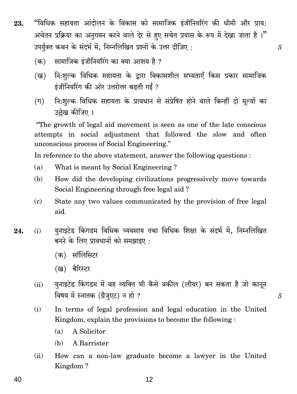- "विधिक सहायता आंदोलन के विकास को सामाजिक इंजीनियरिंग की धीमी और प्राय: 23. अचेतन प्रक्रिया का अनुगमन करने वाले देर से हुए सचेत प्रयास के रूप में देखा जाता है।" उपर्यक्त कथन के संदर्भ में. निम्नलिखित प्रश्नों के उत्तर दीजिए :
	- सामाजिक इंजीनियरिंग का क्या आशय है ?  $(\overline{a})$
	- नि:शुल्क विधिक सहायता के द्वारा विकासशील सभ्यताएँ किस प्रकार सामाजिक (ख) इंजीनियरिंग की ओर उत्तरोत्तर बढती गईं ?

5

5

नि:शुल्क विधिक सहायता के प्रावधान से संप्रेषित होने वाले किन्हीं दो मूल्यों का  $(\Pi)$ उल्लेख कीजिए ।

"The growth of legal aid movement is seen as one of the late conscious" attempts in social adjustment that followed the slow and often unconscious process of Social Engineering."

In reference to the above statement, answer the following questions :

- What is meant by Social Engineering?  $(a)$
- $(b)$ How did the developing civilizations progressively move towards Social Engineering through free legal aid?
- $(c)$ State any two values communicated by the provision of free legal aid.
- यनाइटेड किंगडम विधिक व्यवसाय तथा विधिक शिक्षा के संदर्भ में. निम्नलिखित 24.  $(i)$ बनने के लिए प्रावधानों को समझाइए:
	- (क) सॉलिसिटर
	- (ख) बैरिस्टर
	- युनाइटेड किंगडम में वह व्यक्ति भी कैसे वकील (लौयर) बन सकता है जो कानून  $(ii)$ विषय में स्नातक (ग्रैजुएट) न हो ?
	- $(i)$ In terms of legal profession and legal education in the United Kingdom, explain the provisions to become the following:
		- A Solicitor  $(a)$
		- A Barrister (b)
	- $(ii)$ How can a non-law graduate become a lawyer in the United Kingdom?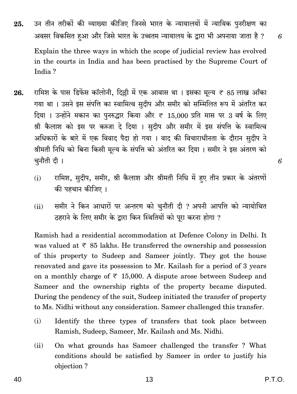Explain the three ways in which the scope of judicial review has evolved in the courts in India and has been practised by the Supreme Court of India?

- रामिश के पास डिफेंस कॉलोनी, दिल्ली में एक आवास था । इसका मूल्य ₹ 85 लाख आँका 26. गया था । उसने इस संपत्ति का स्वामित्व सुदीप और समीर को सम्मिलित रूप में अंतरित कर दिया । उन्होंने मकान का पुनरुद्धार किया और ₹ 15,000 प्रति मास पर 3 वर्ष के लिए श्री कैलाश को इस पर कब्जा दे दिया । सुदीप और समीर में इस संपत्ति के स्वामित्व अधिकारों के बारे में एक विवाद पैदा हो गया । वाद की विचाराधीनता के दौरान सुदीप ने श्रीमती निधि को बिना किसी मुल्य के संपत्ति को अंतरित कर दिया । समीर ने इस अंतरण को चुनौती दी।
	- रामिश, सुदीप, समीर, श्री कैलाश और श्रीमती निधि में हुए तीन प्रकार के अंतरणों  $(i)$ की पहचान कीजिए ।
	- समीर ने किन आधारों पर अन्तरण को चुनौती दी ? अपनी आपत्ति को न्यायोचित  $(ii)$ ठहराने के लिए समीर के द्वारा किन स्थितियों को पूरा करना होगा ?

Ramish had a residential accommodation at Defence Colony in Delhi. It was valued at  $\overline{\tau}$  85 lakhs. He transferred the ownership and possession of this property to Sudeep and Sameer jointly. They got the house renovated and gave its possession to Mr. Kailash for a period of 3 years on a monthly charge of  $\overline{\tau}$  15,000. A dispute arose between Sudeep and Sameer and the ownership rights of the property became disputed. During the pendency of the suit, Sudeep initiated the transfer of property to Ms. Nidhi without any consideration. Sameer challenged this transfer.

- Identify the three types of transfers that took place between  $(i)$ Ramish, Sudeep, Sameer, Mr. Kailash and Ms. Nidhi.
- On what grounds has Sameer challenged the transfer? What  $(ii)$ conditions should be satisfied by Sameer in order to justify his objection?

25.

6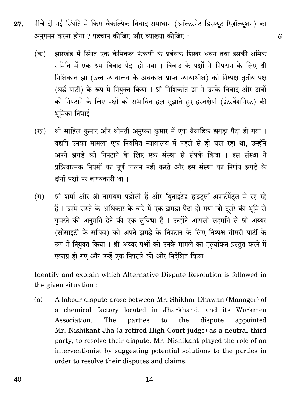- नीचे दी गई स्थिति में किस वैकल्पिक विवाद समाधान (ऑल्टरनेट डिस्प्युट रिज़ॉल्युशन) का 27. अनुगमन करना होगा ? पहचान कीजिए और व्याख्या कीजिए :
	- झारखंड में स्थित एक केमिकल फैक्टरी के प्रबंधक शिखर धवन तथा इसकी श्रमिक  $(\overline{a})$ समिति में एक श्रम विवाद पैदा हो गया । विवाद के पक्षों ने निपटान के लिए श्री निशिकांत झा (उच्च न्यायालय के अवकाश प्राप्त न्यायाधीश) को निष्पक्ष तृतीय पक्ष (थर्ड पार्टी) के रूप में नियुक्त किया । श्री निशिकांत झा ने उनके विवाद और दावों को निपटाने के लिए पक्षों को संभावित हल सुझाते हुए हस्तक्षेपी (इंटरवेंशनिस्ट) की भूमिका निभाई ।
	- श्री साहिल कुमार और श्रीमती अनुष्का कुमार में एक वैवाहिक झगड़ा पैदा हो गया । (ख) यद्यपि उनका मामला एक नियमित न्यायालय में पहले से ही चल रहा था, उन्होंने अपने झगडे को निपटाने के लिए एक संस्था से संपर्क किया । इस संस्था ने प्रक्रियात्मक नियमों का पूर्ण पालन नहीं करते और इस संस्था का निर्णय झगडे के दोनों पक्षों पर बाध्यकारी था।
	- श्री शर्मा और श्री नारायण पड़ोसी हैं और 'युनाइटेड हाइट्स' अपार्टमेंट्स में रह रहे  $(\Pi)$ हैं । उनमें रास्ते के अधिकार के बारे में एक झगड़ा पैदा हो गया जो दूसरे की भूमि से गूज़रने की अनुमति देने की एक सुविधा है । उन्होंने आपसी सहमति से श्री अय्यर (सोसाइटी के सचिव) को अपने झगड़े के निपटान के लिए निष्पक्ष तीसरी पार्टी के रूप में नियुक्त किया । श्री अय्यर पक्षों को उनके मामले का मूल्यांकन प्रस्तुत करने में एकाग्र हो गए और उन्हें एक निपटारे की ओर निर्देशित किया ।

Identify and explain which Alternative Dispute Resolution is followed in the given situation :

A labour dispute arose between Mr. Shikhar Dhawan (Manager) of  $(a)$ a chemical factory located in Jharkhand, and its Workmen Association. The  $\mathbf{t}$  $the$ dispute parties appointed Mr. Nishikant Jha (a retired High Court judge) as a neutral third party, to resolve their dispute. Mr. Nishikant played the role of an interventionist by suggesting potential solutions to the parties in order to resolve their disputes and claims.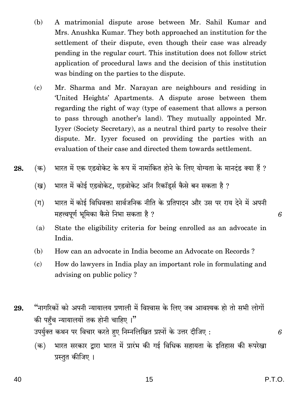- A matrimonial dispute arose between Mr. Sahil Kumar and (b) Mrs. Anushka Kumar. They both approached an institution for the settlement of their dispute, even though their case was already pending in the regular court. This institution does not follow strict application of procedural laws and the decision of this institution was binding on the parties to the dispute.
- $(c)$ Mr. Sharma and Mr. Narayan are neighbours and residing in 'United Heights' Apartments. A dispute arose between them regarding the right of way (type of easement that allows a person to pass through another's land). They mutually appointed Mr. Iyyer (Society Secretary), as a neutral third party to resolve their dispute. Mr. Iyyer focused on providing the parties with an evaluation of their case and directed them towards settlement.
- भारत में एक एडवोकेट के रूप में नामांकित होने के लिए योग्यता के मानदंड क्या हैं ? (क) 28.
	- भारत में कोई एडवोकेट, एडवोकेट ऑन रिकॉर्ड्स कैसे बन सकता है ? (ख)
	- भारत में कोई विधिवक्ता सार्वजनिक नीति के प्रतिपादन और उस पर राय देने में अपनी  $(\Pi)$ महत्त्वपूर्ण भूमिका कैसे निभा सकता है ?
	- $(a)$ State the eligibility criteria for being enrolled as an advocate in India.
	- (b) How can an advocate in India become an Advocate on Records?
	- $(c)$ How do lawyers in India play an important role in formulating and advising on public policy?
- "नागरिकों को अपनी न्यायालय प्रणाली में विश्वास के लिए जब आवश्यक हो तो सभी लोगों 29. की पहँच न्यायालयों तक होनी चाहिए।" उपर्युक्त कथन पर विचार करते हुए निम्नलिखित प्रश्नों के उत्तर दीजिए :
	- भारत सरकार द्वारा भारत में प्रारंभ की गई विधिक सहायता के इतिहास की रूपरेखा (क) प्रस्तुत कीजिए ।

6

6